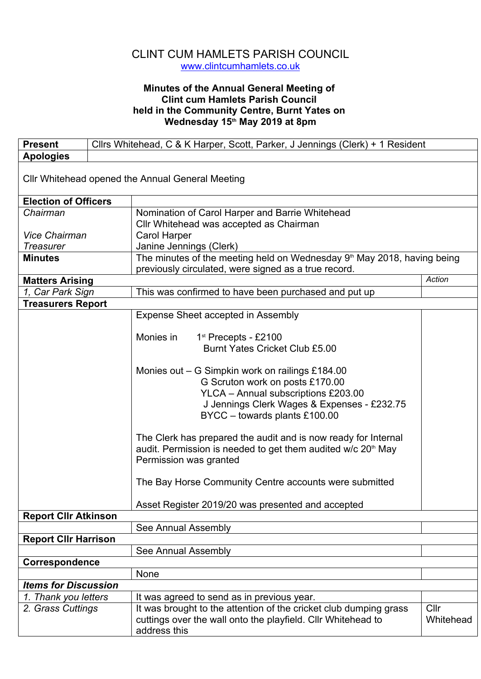## CLINT CUM HAMLETS PARISH COUNCIL www.clintcumhamlets.co.uk

## **Minutes of the Annual General Meeting of Clint cum Hamlets Parish Council held in the Community Centre, Burnt Yates on Wednesday 15th May 2019 at 8pm**

| <b>Present</b>              |  | Cllrs Whitehead, C & K Harper, Scott, Parker, J Jennings (Clerk) + 1 Resident                                                                |           |  |
|-----------------------------|--|----------------------------------------------------------------------------------------------------------------------------------------------|-----------|--|
| <b>Apologies</b>            |  |                                                                                                                                              |           |  |
|                             |  | Cllr Whitehead opened the Annual General Meeting                                                                                             |           |  |
| <b>Election of Officers</b> |  |                                                                                                                                              |           |  |
| Chairman                    |  | Nomination of Carol Harper and Barrie Whitehead                                                                                              |           |  |
|                             |  | Cllr Whitehead was accepted as Chairman                                                                                                      |           |  |
| <b>Vice Chairman</b>        |  | <b>Carol Harper</b>                                                                                                                          |           |  |
| <b>Treasurer</b>            |  | Janine Jennings (Clerk)                                                                                                                      |           |  |
| <b>Minutes</b>              |  | The minutes of the meeting held on Wednesday 9 <sup>th</sup> May 2018, having being                                                          |           |  |
|                             |  | previously circulated, were signed as a true record.                                                                                         |           |  |
| <b>Matters Arising</b>      |  |                                                                                                                                              | Action    |  |
| 1, Car Park Sign            |  | This was confirmed to have been purchased and put up                                                                                         |           |  |
| <b>Treasurers Report</b>    |  |                                                                                                                                              |           |  |
|                             |  | Expense Sheet accepted in Assembly                                                                                                           |           |  |
|                             |  |                                                                                                                                              |           |  |
|                             |  | Monies in<br>$1st$ Precepts - £2100                                                                                                          |           |  |
|                             |  | Burnt Yates Cricket Club £5.00                                                                                                               |           |  |
|                             |  |                                                                                                                                              |           |  |
|                             |  | Monies out – G Simpkin work on railings £184.00                                                                                              |           |  |
|                             |  | G Scruton work on posts £170.00                                                                                                              |           |  |
|                             |  | YLCA - Annual subscriptions £203.00                                                                                                          |           |  |
|                             |  | J Jennings Clerk Wages & Expenses - £232.75                                                                                                  |           |  |
|                             |  | BYCC - towards plants £100.00                                                                                                                |           |  |
|                             |  |                                                                                                                                              |           |  |
|                             |  | The Clerk has prepared the audit and is now ready for Internal<br>audit. Permission is needed to get them audited $w/c$ 20 <sup>th</sup> May |           |  |
|                             |  | Permission was granted                                                                                                                       |           |  |
|                             |  |                                                                                                                                              |           |  |
|                             |  | The Bay Horse Community Centre accounts were submitted                                                                                       |           |  |
|                             |  | Asset Register 2019/20 was presented and accepted                                                                                            |           |  |
| <b>Report Cllr Atkinson</b> |  |                                                                                                                                              |           |  |
|                             |  | See Annual Assembly                                                                                                                          |           |  |
| <b>Report CIIr Harrison</b> |  |                                                                                                                                              |           |  |
|                             |  | See Annual Assembly                                                                                                                          |           |  |
| Correspondence              |  |                                                                                                                                              |           |  |
|                             |  | None                                                                                                                                         |           |  |
| <b>Items for Discussion</b> |  |                                                                                                                                              |           |  |
| 1. Thank you letters        |  | It was agreed to send as in previous year.                                                                                                   |           |  |
| 2. Grass Cuttings           |  | It was brought to the attention of the cricket club dumping grass                                                                            | Cllr      |  |
|                             |  | cuttings over the wall onto the playfield. Cllr Whitehead to<br>address this                                                                 | Whitehead |  |
|                             |  |                                                                                                                                              |           |  |